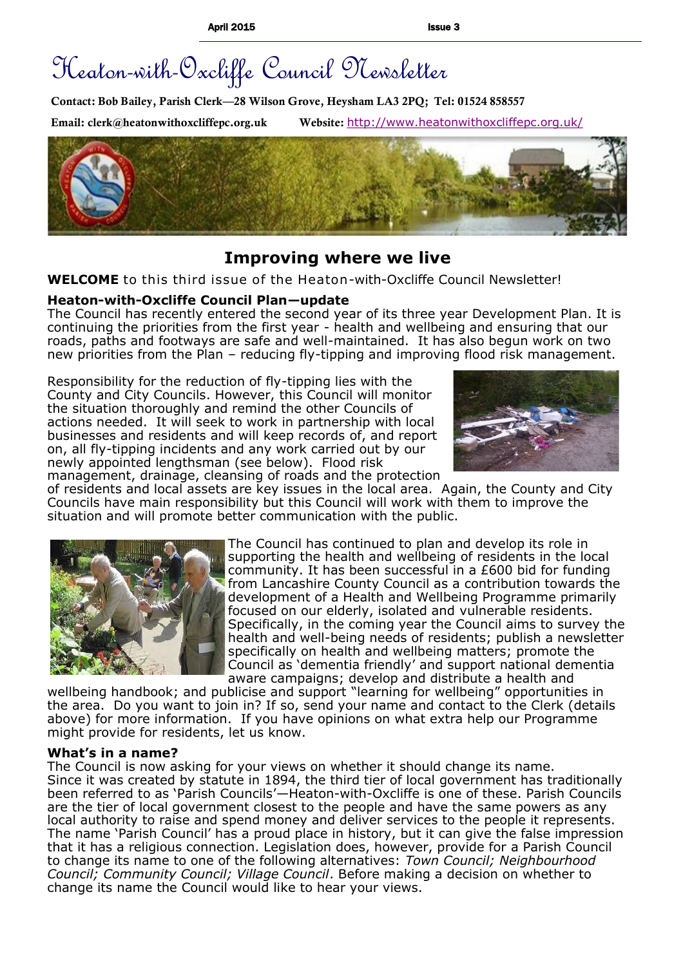# Heaton-with-Oxcliffe Council Newsletter

**Contact: Bob Bailey, Parish Clerk—28 Wilson Grove, Heysham LA3 2PQ; Tel: 01524 858557**

**Email: clerk@heatonwithoxcliffepc.org.uk Website:** <http://www.heatonwithoxcliffepc.org.uk/>



# **Improving where we live**

**WELCOME** to this third issue of the Heaton-with-Oxcliffe Council Newsletter!

## **Heaton-with-Oxcliffe Council Plan—update**

The Council has recently entered the second year of its three year Development Plan. It is continuing the priorities from the first year - health and wellbeing and ensuring that our roads, paths and footways are safe and well-maintained. It has also begun work on two new priorities from the Plan – reducing fly-tipping and improving flood risk management.

Responsibility for the reduction of fly-tipping lies with the County and City Councils. However, this Council will monitor the situation thoroughly and remind the other Councils of actions needed. It will seek to work in partnership with local businesses and residents and will keep records of, and report on, all fly-tipping incidents and any work carried out by our newly appointed lengthsman (see below). Flood risk management, drainage, cleansing of roads and the protection



of residents and local assets are key issues in the local area. Again, the County and City Councils have main responsibility but this Council will work with them to improve the situation and will promote better communication with the public.



The Council has continued to plan and develop its role in supporting the health and wellbeing of residents in the local community. It has been successful in a £600 bid for funding from Lancashire County Council as a contribution towards the development of a Health and Wellbeing Programme primarily focused on our elderly, isolated and vulnerable residents. Specifically, in the coming year the Council aims to survey the health and well-being needs of residents; publish a newsletter specifically on health and wellbeing matters; promote the Council as 'dementia friendly' and support national dementia aware campaigns; develop and distribute a health and

wellbeing handbook; and publicise and support "learning for wellbeing" opportunities in the area. Do you want to join in? If so, send your name and contact to the Clerk (details above) for more information. If you have opinions on what extra help our Programme might provide for residents, let us know.

#### **What's in a name?**

The Council is now asking for your views on whether it should change its name. Since it was created by statute in 1894, the third tier of local government has traditionally been referred to as 'Parish Councils'—Heaton-with-Oxcliffe is one of these. Parish Councils are the tier of local government closest to the people and have the same powers as any local authority to raise and spend money and deliver services to the people it represents. The name 'Parish Council' has a proud place in history, but it can give the false impression that it has a religious connection. Legislation does, however, provide for a Parish Council to change its name to one of the following alternatives: *Town Council; Neighbourhood Council; Community Council; Village Council*. Before making a decision on whether to change its name the Council would like to hear your views.